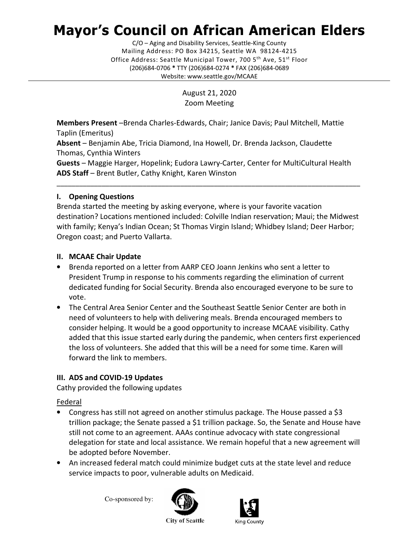# Mayor's Council on African American Elders

 Mailing Address: PO Box 34215, Seattle WA 98124-4215 Office Address: Seattle Municipal Tower, 700 5<sup>th</sup> Ave, 51<sup>st</sup> Floor (206)684-0706 \* TTY (206)684-0274 \* FAX (206)684-0689 C/O – Aging and Disability Services, Seattle-King County Website: <www.seattle.gov/MCAAE>

> August 21, 2020 Zoom Meeting

 Members Present –Brenda Charles-Edwards, Chair; Janice Davis; Paul Mitchell, Mattie Taplin (Emeritus)

Absent - Benjamin Abe, Tricia Diamond, Ina Howell, Dr. Brenda Jackson, Claudette Thomas, Cynthia Winters

Guests - Maggie Harger, Hopelink; Eudora Lawry-Carter, Center for MultiCultural Health ADS Staff - Brent Butler, Cathy Knight, Karen Winston

\_\_\_\_\_\_\_\_\_\_\_\_\_\_\_\_\_\_\_\_\_\_\_\_\_\_\_\_\_\_\_\_\_\_\_\_\_\_\_\_\_\_\_\_\_\_\_\_\_\_\_\_\_\_\_\_\_\_\_\_\_\_\_\_\_\_\_\_\_\_\_\_\_\_\_\_\_\_\_\_\_

# I. Opening Questions

 Brenda started the meeting by asking everyone, where is your favorite vacation destination? Locations mentioned included: Colville Indian reservation; Maui; the Midwest with family; Kenya's Indian Ocean; St Thomas Virgin Island; Whidbey Island; Deer Harbor; Oregon coast; and Puerto Vallarta.

# II. MCAAE Chair Update

- • Brenda reported on a letter from AARP CEO Joann Jenkins who sent a letter to President Trump in response to his comments regarding the elimination of current dedicated funding for Social Security. Brenda also encouraged everyone to be sure to vote.
- • The Central Area Senior Center and the Southeast Seattle Senior Center are both in need of volunteers to help with delivering meals. Brenda encouraged members to consider helping. It would be a good opportunity to increase MCAAE visibility. Cathy added that this issue started early during the pandemic, when centers first experienced the loss of volunteers. She added that this will be a need for some time. Karen will forward the link to members.

## III. ADS and COVID-19 Updates

Cathy provided the following updates

## Federal

- • Congress has still not agreed on another stimulus package. The House passed a \$3 trillion package; the Senate passed a \$1 trillion package. So, the Senate and House have still not come to an agreement. AAAs continue advocacy with state congressional delegation for state and local assistance. We remain hopeful that a new agreement will be adopted before November.
- • An increased federal match could minimize budget cuts at the state level and reduce service impacts to poor, vulnerable adults on Medicaid.

Co-sponsored by:





**City of Seattle**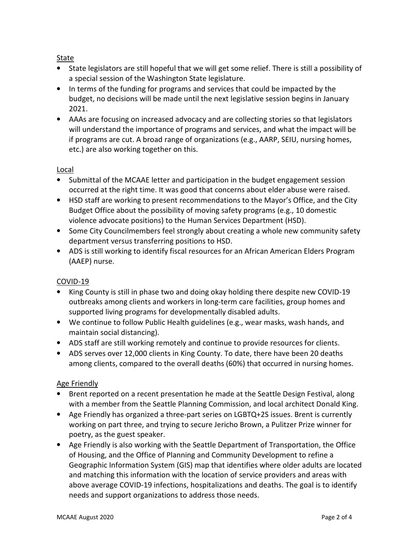## State

- • State legislators are still hopeful that we will get some relief. There is still a possibility of a special session of the Washington State legislature.
- • In terms of the funding for programs and services that could be impacted by the budget, no decisions will be made until the next legislative session begins in January 2021.
- • AAAs are focusing on increased advocacy and are collecting stories so that legislators will understand the importance of programs and services, and what the impact will be if programs are cut. A broad range of organizations (e.g., AARP, SEIU, nursing homes, etc.) are also working together on this.

## Local

- • Submittal of the MCAAE letter and participation in the budget engagement session occurred at the right time. It was good that concerns about elder abuse were raised.
- • HSD staff are working to present recommendations to the Mayor's Office, and the City Budget Office about the possibility of moving safety programs (e.g., 10 domestic violence advocate positions) to the Human Services Department (HSD).
- • Some City Councilmembers feel strongly about creating a whole new community safety department versus transferring positions to HSD.
- • ADS is still working to identify fiscal resources for an African American Elders Program (AAEP) nurse.

# COVID-19

- • King County is still in phase two and doing okay holding there despite new COVID-19 outbreaks among clients and workers in long-term care facilities, group homes and supported living programs for developmentally disabled adults.
- • We continue to follow Public Health guidelines (e.g., wear masks, wash hands, and maintain social distancing).
- ADS staff are still working remotely and continue to provide resources for clients.
- • ADS serves over 12,000 clients in King County. To date, there have been 20 deaths among clients, compared to the overall deaths (60%) that occurred in nursing homes.

# Age Friendly

- • Brent reported on a recent presentation he made at the Seattle Design Festival, along with a member from the Seattle Planning Commission, and local architect Donald King.
- • Age Friendly has organized a three-part series on LGBTQ+2S issues. Brent is currently working on part three, and trying to secure Jericho Brown, a Pulitzer Prize winner for poetry, as the guest speaker.
- • Age Friendly is also working with the Seattle Department of Transportation, the Office of Housing, and the Office of Planning and Community Development to refine a Geographic Information System (GIS) map that identifies where older adults are located and matching this information with the location of service providers and areas with above average COVID-19 infections, hospitalizations and deaths. The goal is to identify needs and support organizations to address those needs.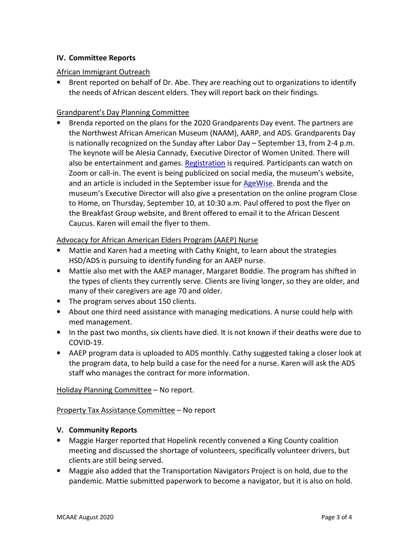### IV. Committee Reports

#### **African Immigrant Outreach**

 • Brent reported on behalf of Dr. Abe. They are reaching out to organizations to identify the needs of African descent elders. They will report back on their findings.

#### Grandparent's Day Planning Committee

 • Brenda reported on the plans for the 2020 Grandparents Day event. The partners are the Northwest African American Museum (NAAM), AARP, and ADS. Grandparents Day is nationally recognized on the Sunday after Labor Day – September 13, from 2-4 p.m. The keynote will be Alesia Cannady, Executive Director of Women United. There will also be entertainment and games. Registration is required. Participants can watch on Zoom or call-in. The event is being publicized on social media, the museum's website, and an article is included in the September issue for **AgeWise**. Brenda and the museum's Executive Director will also give a presentation on the online program Close to Home, on Thursday, September 10, at 10:30 a.m. Paul offered to post the flyer on the Breakfast Group website, and Brent offered to email it to the African Descent Caucus. Karen will email the flyer to them.

#### Advocacy for African American Elders Program (AAEP) Nurse

- • Mattie and Karen had a meeting with Cathy Knight, to learn about the strategies HSD/ADS is pursuing to identify funding for an AAEP nurse.
- the types of clients they currently serve. Clients are living longer, so they are older, and many of their caregivers are age 70 and older. • Mattie also met with the AAEP manager, Margaret Boddie. The program has shifted in
- The program serves about 150 clients.
- • About one third need assistance with managing medications. A nurse could help with med management.
- • In the past two months, six clients have died. It is not known if their deaths were due to COVID-19.
- • AAEP program data is uploaded to ADS monthly. Cathy suggested taking a closer look at the program data, to help build a case for the need for a nurse. Karen will ask the ADS staff who manages the contract for more information.

#### Holiday Planning Committee - No report.

#### Property Tax Assistance Committee - No report

#### V. Community Reports

- • Maggie Harger reported that Hopelink recently convened a King County coalition meeting and discussed the shortage of volunteers, specifically volunteer drivers, but clients are still being served.
- • Maggie also added that the Transportation Navigators Project is on hold, due to the pandemic. Mattie submitted paperwork to become a navigator, but it is also on hold.